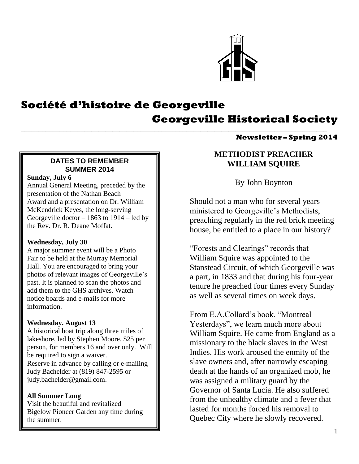

# **Société d'histoire de Georgeville Georgeville Historical Society**

\_\_\_\_\_\_\_\_\_\_\_\_\_\_\_\_\_\_\_\_\_\_\_\_\_\_\_\_\_\_\_\_\_\_\_\_\_\_\_\_\_\_\_\_\_\_\_\_\_\_\_\_\_\_\_\_\_\_\_\_\_\_\_\_\_\_\_\_\_\_\_\_\_\_\_\_\_\_\_\_\_\_\_\_\_\_\_

#### **Newsletter – Spring 2014**

#### **DATES TO REMEMBER SUMMER 2014**

#### **Sunday, July 6**

Annual General Meeting, preceded by the presentation of the Nathan Beach Award and a presentation on Dr. William McKendrick Keyes, the long-serving Georgeville doctor – 1863 to 1914 – led by the Rev. Dr. R. Deane Moffat.

#### **Wednesday, July 30**

A major summer event will be a Photo Fair to be held at the Murray Memorial Hall. You are encouraged to bring your photos of relevant images of Georgeville's past. It is planned to scan the photos and add them to the GHS archives. Watch notice boards and e-mails for more information.

#### **Wednesday. August 13**

A historical boat trip along three miles of lakeshore, led by Stephen Moore. \$25 per person, for members 16 and over only. Will be required to sign a waiver. Reserve in advance by calling or e-mailing Judy Bachelder at (819) 847-2595 or [judy.bachelder@gmail.com.](mailto:judy.bachelder@gmail.com)

#### **All Summer Long**

Visit the beautiful and revitalized Bigelow Pioneer Garden any time during the summer.

# **METHODIST PREACHER WILLIAM SQUIRE**

By John Boynton

Should not a man who for several years ministered to Georgeville's Methodists, preaching regularly in the red brick meeting house, be entitled to a place in our history?

"Forests and Clearings" records that William Squire was appointed to the Stanstead Circuit, of which Georgeville was a part, in 1833 and that during his four-year tenure he preached four times every Sunday as well as several times on week days.

From E.A.Collard's book, "Montreal Yesterdays", we learn much more about William Squire. He came from England as a missionary to the black slaves in the West Indies. His work aroused the enmity of the slave owners and, after narrowly escaping death at the hands of an organized mob, he was assigned a military guard by the Governor of Santa Lucia. He also suffered from the unhealthy climate and a fever that lasted for months forced his removal to Quebec City where he slowly recovered.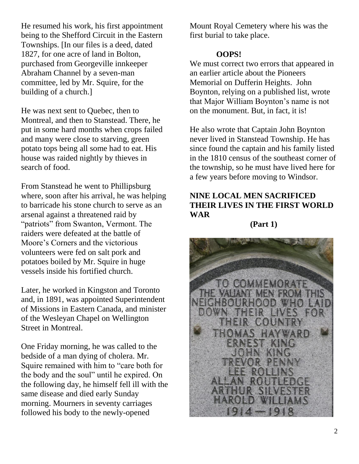He resumed his work, his first appointment being to the Shefford Circuit in the Eastern Townships. [In our files is a deed, dated 1827, for one acre of land in Bolton, purchased from Georgeville innkeeper Abraham Channel by a seven-man committee, led by Mr. Squire, for the building of a church.]

He was next sent to Quebec, then to Montreal, and then to Stanstead. There, he put in some hard months when crops failed and many were close to starving, green potato tops being all some had to eat. His house was raided nightly by thieves in search of food.

From Stanstead he went to Phillipsburg where, soon after his arrival, he was helping to barricade his stone church to serve as an arsenal against a threatened raid by "patriots" from Swanton, Vermont. The raiders were defeated at the battle of Moore's Corners and the victorious volunteers were fed on salt pork and potatoes boiled by Mr. Squire in huge vessels inside his fortified church.

Later, he worked in Kingston and Toronto and, in 1891, was appointed Superintendent of Missions in Eastern Canada, and minister of the Wesleyan Chapel on Wellington Street in Montreal.

One Friday morning, he was called to the bedside of a man dying of cholera. Mr. Squire remained with him to "care both for the body and the soul" until he expired. On the following day, he himself fell ill with the same disease and died early Sunday morning. Mourners in seventy carriages followed his body to the newly-opened

Mount Royal Cemetery where his was the first burial to take place.

#### **OOPS!**

We must correct two errors that appeared in an earlier article about the Pioneers Memorial on Dufferin Heights. John Boynton, relying on a published list, wrote that Major William Boynton's name is not on the monument. But, in fact, it is!

He also wrote that Captain John Boynton never lived in Stanstead Township. He has since found the captain and his family listed in the 1810 census of the southeast corner of the township, so he must have lived here for a few years before moving to Windsor.

# **NINE LOCAL MEN SACRIFICED THEIR LIVES IN THE FIRST WORLD WAR**

**(Part 1)**

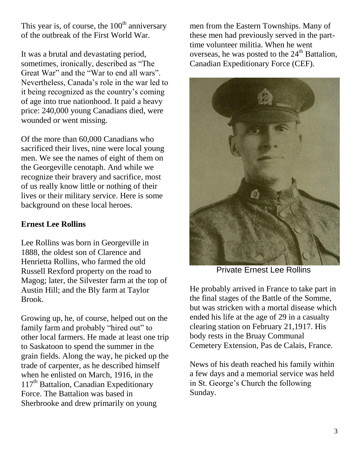This year is, of course, the  $100<sup>th</sup>$  anniversary of the outbreak of the First World War.

It was a brutal and devastating period, sometimes, ironically, described as "The Great War" and the "War to end all wars". Nevertheless, Canada's role in the war led to it being recognized as the country's coming of age into true nationhood. It paid a heavy price: 240,000 young Canadians died, were wounded or went missing.

Of the more than 60,000 Canadians who sacrificed their lives, nine were local young men. We see the names of eight of them on the Georgeville cenotaph. And while we recognize their bravery and sacrifice, most of us really know little or nothing of their lives or their military service. Here is some background on these local heroes.

## **Ernest Lee Rollins**

Lee Rollins was born in Georgeville in 1888, the oldest son of Clarence and Henrietta Rollins, who farmed the old Russell Rexford property on the road to Magog; later, the Silvester farm at the top of Austin Hill; and the Bly farm at Taylor Brook.

Growing up, he, of course, helped out on the family farm and probably "hired out" to other local farmers. He made at least one trip to Saskatoon to spend the summer in the grain fields. Along the way, he picked up the trade of carpenter, as he described himself when he enlisted on March, 1916, in the  $117<sup>th</sup>$  Battalion, Canadian Expeditionary Force. The Battalion was based in Sherbrooke and drew primarily on young

men from the Eastern Townships. Many of these men had previously served in the parttime volunteer militia. When he went overseas, he was posted to the  $24<sup>th</sup>$  Battalion. Canadian Expeditionary Force (CEF).



Private Ernest Lee Rollins

He probably arrived in France to take part in the final stages of the Battle of the Somme, but was stricken with a mortal disease which ended his life at the age of 29 in a casualty clearing station on February 21,1917. His body rests in the Bruay Communal Cemetery Extension, Pas de Calais, France.

News of his death reached his family within a few days and a memorial service was held in St. George's Church the following Sunday.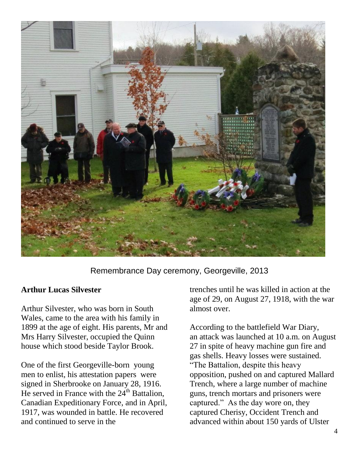

Remembrance Day ceremony, Georgeville, 2013

## **Arthur Lucas Silvester**

Arthur Silvester, who was born in South Wales, came to the area with his family in 1899 at the age of eight. His parents, Mr and Mrs Harry Silvester, occupied the Quinn house which stood beside Taylor Brook.

One of the first Georgeville-born young men to enlist, his attestation papers were signed in Sherbrooke on January 28, 1916. He served in France with the  $24<sup>th</sup>$  Battalion, Canadian Expeditionary Force, and in April, 1917, was wounded in battle. He recovered and continued to serve in the

trenches until he was killed in action at the age of 29, on August 27, 1918, with the war almost over.

According to the battlefield War Diary, an attack was launched at 10 a.m. on August 27 in spite of heavy machine gun fire and gas shells. Heavy losses were sustained. "The Battalion, despite this heavy opposition, pushed on and captured Mallard Trench, where a large number of machine guns, trench mortars and prisoners were captured." As the day wore on, they captured Cherisy, Occident Trench and advanced within about 150 yards of Ulster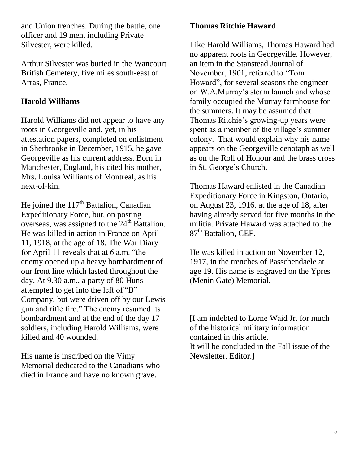and Union trenches. During the battle, one officer and 19 men, including Private Silvester, were killed.

Arthur Silvester was buried in the Wancourt British Cemetery, five miles south-east of Arras, France.

# **Harold Williams**

Harold Williams did not appear to have any roots in Georgeville and, yet, in his attestation papers, completed on enlistment in Sherbrooke in December, 1915, he gave Georgeville as his current address. Born in Manchester, England, his cited his mother, Mrs. Louisa Williams of Montreal, as his next-of-kin.

He joined the  $117<sup>th</sup>$  Battalion, Canadian Expeditionary Force, but, on posting overseas, was assigned to the  $24<sup>th</sup>$  Battalion. He was killed in action in France on April 11, 1918, at the age of 18. The War Diary for April 11 reveals that at 6 a.m. "the enemy opened up a heavy bombardment of our front line which lasted throughout the day. At 9.30 a.m., a party of 80 Huns attempted to get into the left of "B" Company, but were driven off by our Lewis gun and rifle fire." The enemy resumed its bombardment and at the end of the day 17 soldiers, including Harold Williams, were killed and 40 wounded.

His name is inscribed on the Vimy Memorial dedicated to the Canadians who died in France and have no known grave.

# **Thomas Ritchie Haward**

Like Harold Williams, Thomas Haward had no apparent roots in Georgeville. However, an item in the Stanstead Journal of November, 1901, referred to "Tom Howard", for several seasons the engineer on W.A.Murray's steam launch and whose family occupied the Murray farmhouse for the summers. It may be assumed that Thomas Ritchie's growing-up years were spent as a member of the village's summer colony. That would explain why his name appears on the Georgeville cenotaph as well as on the Roll of Honour and the brass cross in St. George's Church.

Thomas Haward enlisted in the Canadian Expeditionary Force in Kingston, Ontario, on August 23, 1916, at the age of 18, after having already served for five months in the militia. Private Haward was attached to the 87<sup>th</sup> Battalion, CEF.

He was killed in action on November 12, 1917, in the trenches of Passchendaele at age 19. His name is engraved on the Ypres (Menin Gate) Memorial.

[I am indebted to Lorne Waid Jr. for much of the historical military information contained in this article. It will be concluded in the Fall issue of the Newsletter. Editor.]